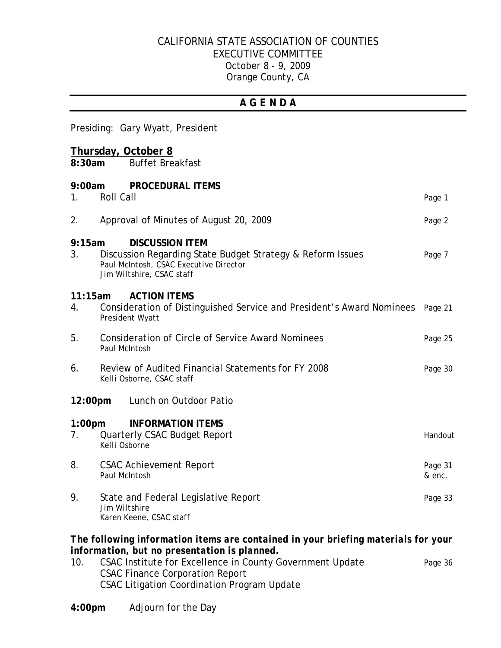## CALIFORNIA STATE ASSOCIATION OF COUNTIES EXECUTIVE COMMITTEE October 8 - 9, 2009 Orange County, CA

## *A G E N D A*

Presiding: Gary Wyatt, President

#### **Thursday, October 8**

**8:30am** Buffet Breakfast

| 9:00am<br>1.                      | <b>Roll Call</b> | <b>PROCEDURAL ITEMS</b>                                                                                                                                     | Page 1            |
|-----------------------------------|------------------|-------------------------------------------------------------------------------------------------------------------------------------------------------------|-------------------|
| 2.                                |                  | Approval of Minutes of August 20, 2009                                                                                                                      | Page 2            |
| 9:15am<br>3.                      |                  | <b>DISCUSSION ITEM</b><br>Discussion Regarding State Budget Strategy & Reform Issues<br>Paul McIntosh, CSAC Executive Director<br>Jim Wiltshire, CSAC staff | Page 7            |
| 11:15am<br>4.                     |                  | <b>ACTION ITEMS</b><br>Consideration of Distinguished Service and President's Award Nominees<br>President Wyatt                                             | Page 21           |
| 5.                                | Paul McIntosh    | <b>Consideration of Circle of Service Award Nominees</b>                                                                                                    | Page 25           |
| 6.                                |                  | Review of Audited Financial Statements for FY 2008<br>Kelli Osborne, CSAC staff                                                                             | Page 30           |
| 12:00pm<br>Lunch on Outdoor Patio |                  |                                                                                                                                                             |                   |
| 1:00 <sub>pm</sub><br>7.          | Kelli Osborne    | <b>INFORMATION ITEMS</b><br><b>Quarterly CSAC Budget Report</b>                                                                                             | Handout           |
| 8.                                | Paul McIntosh    | <b>CSAC Achievement Report</b>                                                                                                                              | Page 31<br>& enc. |
| 9.                                | Jim Wiltshire    | State and Federal Legislative Report<br>Karen Keene, CSAC staff                                                                                             | Page 33           |

#### *The following information items are contained in your briefing materials for your information, but no presentation is planned.*

- 10. CSAC Institute for Excellence in County Government Update Page 36 CSAC Finance Corporation Report CSAC Litigation Coordination Program Update
- **4:00pm** Adjourn for the Day